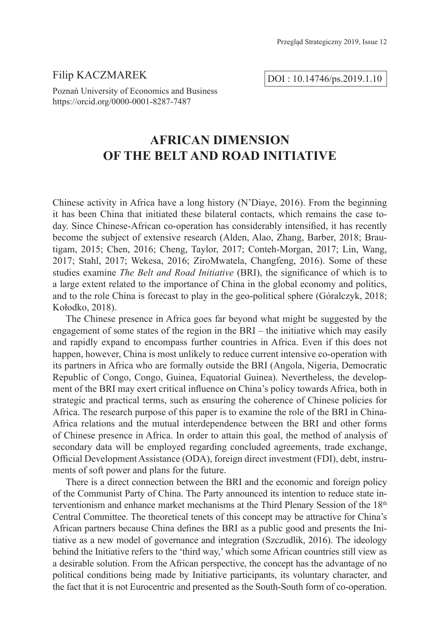## Filip KACZMAREK

DOI : 10.14746/ps.2019.1.10

Poznań University of Economics and Business https://orcid.org/0000-0001-8287-7487

# **AFRICAN DIMENSION OF THE BELT AND ROAD INITIATIVE**

Chinese activity in Africa have a long history (N'Diaye, 2016). From the beginning it has been China that initiated these bilateral contacts, which remains the case today. Since Chinese-African co-operation has considerably intensified, it has recently become the subject of extensive research (Alden, Alao, Zhang, Barber, 2018; Brautigam, 2015; Chen, 2016; Cheng, Taylor, 2017; Conteh-Morgan, 2017; Lin, Wang, 2017; Stahl, 2017; Wekesa, 2016; ZiroMwatela, Changfeng, 2016). Some of these studies examine *The Belt and Road Initiative* (BRI), the significance of which is to a large extent related to the importance of China in the global economy and politics, and to the role China is forecast to play in the geo-political sphere (Góralczyk, 2018; Kołodko, 2018).

The Chinese presence in Africa goes far beyond what might be suggested by the engagement of some states of the region in the BRI – the initiative which may easily and rapidly expand to encompass further countries in Africa. Even if this does not happen, however, China is most unlikely to reduce current intensive co-operation with its partners in Africa who are formally outside the BRI (Angola, Nigeria, Democratic Republic of Congo, Congo, Guinea, Equatorial Guinea). Nevertheless, the development of the BRI may exert critical influence on China's policy towards Africa, both in strategic and practical terms, such as ensuring the coherence of Chinese policies for Africa. The research purpose of this paper is to examine the role of the BRI in China-Africa relations and the mutual interdependence between the BRI and other forms of Chinese presence in Africa. In order to attain this goal, the method of analysis of secondary data will be employed regarding concluded agreements, trade exchange, Official Development Assistance (ODA), foreign direct investment (FDI), debt, instruments of soft power and plans for the future.

There is a direct connection between the BRI and the economic and foreign policy of the Communist Party of China. The Party announced its intention to reduce state interventionism and enhance market mechanisms at the Third Plenary Session of the  $18<sup>th</sup>$ Central Committee. The theoretical tenets of this concept may be attractive for China's African partners because China defines the BRI as a public good and presents the Initiative as a new model of governance and integration (Szczudlik, 2016). The ideology behind the Initiative refers to the 'third way,' which some African countries still view as a desirable solution. From the African perspective, the concept has the advantage of no political conditions being made by Initiative participants, its voluntary character, and the fact that it is not Eurocentric and presented as the South-South form of co-operation.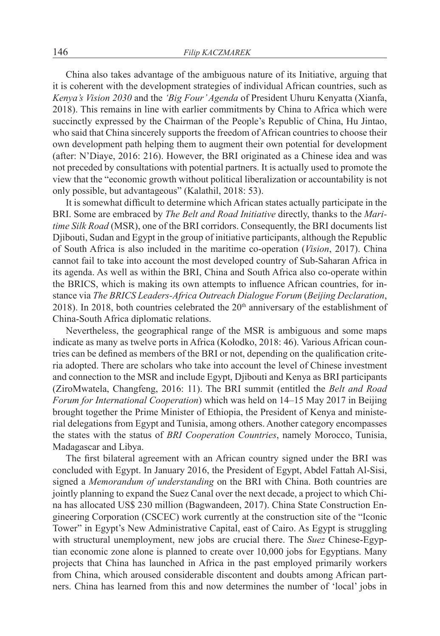China also takes advantage of the ambiguous nature of its Initiative, arguing that it is coherent with the development strategies of individual African countries, such as *Kenya's Vision 2030* and the *'Big Four' Agenda* of President Uhuru Kenyatta (Xianfa, 2018). This remains in line with earlier commitments by China to Africa which were succinctly expressed by the Chairman of the People's Republic of China, Hu Jintao, who said that China sincerely supports the freedom of African countries to choose their own development path helping them to augment their own potential for development (after: N'Diaye, 2016: 216). However, the BRI originated as a Chinese idea and was not preceded by consultations with potential partners. It is actually used to promote the view that the "economic growth without political liberalization or accountability is not only possible, but advantageous" (Kalathil, 2018: 53).

It is somewhat difficult to determine which African states actually participate in the BRI. Some are embraced by *The Belt and Road Initiative* directly, thanks to the *Maritime Silk Road* (MSR), one of the BRI corridors. Consequently, the BRI documents list Djibouti, Sudan and Egypt in the group of initiative participants, although the Republic of South Africa is also included in the maritime co-operation (*Vision*, 2017). China cannot fail to take into account the most developed country of Sub-Saharan Africa in its agenda. As well as within the BRI, China and South Africa also co-operate within the BRICS, which is making its own attempts to influence African countries, for instance via *The BRICS Leaders-Africa Outreach Dialogue Forum* (*Beijing Declaration*, 2018). In 2018, both countries celebrated the  $20<sup>th</sup>$  anniversary of the establishment of China-South Africa diplomatic relations.

Nevertheless, the geographical range of the MSR is ambiguous and some maps indicate as many as twelve ports in Africa (Kołodko, 2018: 46). Various African countries can be defined as members of the BRI or not, depending on the qualification criteria adopted. There are scholars who take into account the level of Chinese investment and connection to the MSR and include Egypt, Djibouti and Kenya as BRI participants (ZiroMwatela, Changfeng, 2016: 11). The BRI summit (entitled the *Belt and Road Forum for International Cooperation*) which was held on 14–15 May 2017 in Beijing brought together the Prime Minister of Ethiopia, the President of Kenya and ministerial delegations from Egypt and Tunisia, among others. Another category encompasses the states with the status of *BRI Cooperation Countries*, namely Morocco, Tunisia, Madagascar and Libya.

The first bilateral agreement with an African country signed under the BRI was concluded with Egypt. In January 2016, the President of Egypt, Abdel Fattah Al-Sisi, signed a *Memorandum of understanding* on the BRI with China. Both countries are jointly planning to expand the Suez Canal over the next decade, a project to which China has allocated US\$ 230 million (Bagwandeen, 2017). China State Construction Engineering Corporation (CSCEC) work currently at the construction site of the "Iconic Tower" in Egypt's New Administrative Capital, east of Cairo. As Egypt is struggling with structural unemployment, new jobs are crucial there. The *Suez* Chinese-Egyptian economic zone alone is planned to create over 10,000 jobs for Egyptians. Many projects that China has launched in Africa in the past employed primarily workers from China, which aroused considerable discontent and doubts among African partners. China has learned from this and now determines the number of 'local' jobs in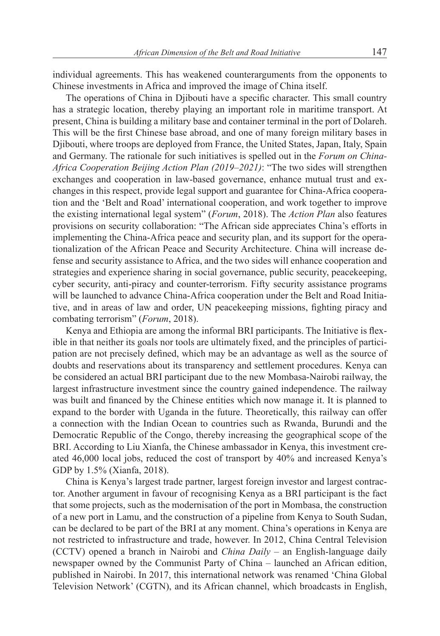individual agreements. This has weakened counterarguments from the opponents to Chinese investments in Africa and improved the image of China itself.

The operations of China in Djibouti have a specific character. This small country has a strategic location, thereby playing an important role in maritime transport. At present, China is building a military base and container terminal in the port of Dolareh. This will be the first Chinese base abroad, and one of many foreign military bases in Djibouti, where troops are deployed from France, the United States, Japan, Italy, Spain and Germany. The rationale for such initiatives is spelled out in the *Forum on China-Africa Cooperation Beijing Action Plan (2019–2021)*: "The two sides will strengthen exchanges and cooperation in law-based governance, enhance mutual trust and exchanges in this respect, provide legal support and guarantee for China-Africa cooperation and the 'Belt and Road' international cooperation, and work together to improve the existing international legal system" (*Forum*, 2018). The *Action Plan* also features provisions on security collaboration: "The African side appreciates China's efforts in implementing the China-Africa peace and security plan, and its support for the operationalization of the African Peace and Security Architecture. China will increase defense and security assistance to Africa, and the two sides will enhance cooperation and strategies and experience sharing in social governance, public security, peacekeeping, cyber security, anti-piracy and counter-terrorism. Fifty security assistance programs will be launched to advance China-Africa cooperation under the Belt and Road Initiative, and in areas of law and order, UN peacekeeping missions, fighting piracy and combating terrorism" (*Forum*, 2018).

Kenya and Ethiopia are among the informal BRI participants. The Initiative is flexible in that neither its goals nor tools are ultimately fixed, and the principles of participation are not precisely defined, which may be an advantage as well as the source of doubts and reservations about its transparency and settlement procedures. Kenya can be considered an actual BRI participant due to the new Mombasa-Nairobi railway, the largest infrastructure investment since the country gained independence. The railway was built and financed by the Chinese entities which now manage it. It is planned to expand to the border with Uganda in the future. Theoretically, this railway can offer a connection with the Indian Ocean to countries such as Rwanda, Burundi and the Democratic Republic of the Congo, thereby increasing the geographical scope of the BRI. According to Liu Xianfa, the Chinese ambassador in Kenya, this investment created 46,000 local jobs, reduced the cost of transport by 40% and increased Kenya's GDP by 1.5% (Xianfa, 2018).

China is Kenya's largest trade partner, largest foreign investor and largest contractor. Another argument in favour of recognising Kenya as a BRI participant is the fact that some projects, such as the modernisation of the port in Mombasa, the construction of a new port in Lamu, and the construction of a pipeline from Kenya to South Sudan, can be declared to be part of the BRI at any moment. China's operations in Kenya are not restricted to infrastructure and trade, however. In 2012, China Central Television (CCTV) opened a branch in Nairobi and *China Daily* – an English-language daily newspaper owned by the Communist Party of China – launched an African edition, published in Nairobi. In 2017, this international network was renamed 'China Global Television Network' (CGTN), and its African channel, which broadcasts in English,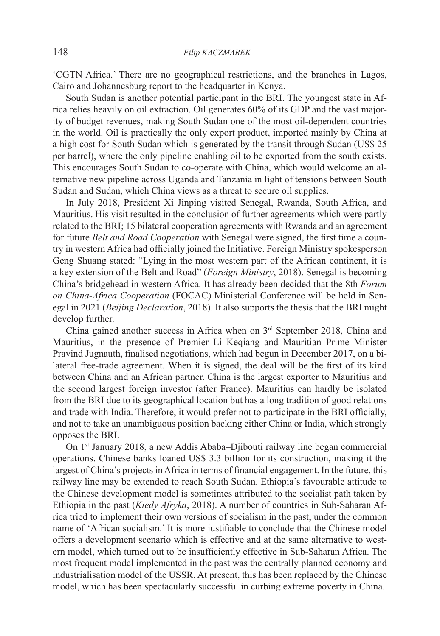'CGTN Africa.' There are no geographical restrictions, and the branches in Lagos, Cairo and Johannesburg report to the headquarter in Kenya.

South Sudan is another potential participant in the BRI. The youngest state in Africa relies heavily on oil extraction. Oil generates 60% of its GDP and the vast majority of budget revenues, making South Sudan one of the most oil-dependent countries in the world. Oil is practically the only export product, imported mainly by China at a high cost for South Sudan which is generated by the transit through Sudan (US\$ 25 per barrel), where the only pipeline enabling oil to be exported from the south exists. This encourages South Sudan to co-operate with China, which would welcome an alternative new pipeline across Uganda and Tanzania in light of tensions between South Sudan and Sudan, which China views as a threat to secure oil supplies.

In July 2018, President Xi Jinping visited Senegal, Rwanda, South Africa, and Mauritius. His visit resulted in the conclusion of further agreements which were partly related to the BRI; 15 bilateral cooperation agreements with Rwanda and an agreement for future *Belt and Road Cooperation* with Senegal were signed, the first time a country in western Africa had officially joined the Initiative. Foreign Ministry spokesperson Geng Shuang stated: "Lying in the most western part of the African continent, it is a key extension of the Belt and Road" (*Foreign Ministry*, 2018). Senegal is becoming China's bridgehead in western Africa. It has already been decided that the 8th *Forum on China-Africa Cooperation* (FOCAC) Ministerial Conference will be held in Senegal in 2021 (*Beijing Declaration*, 2018). It also supports the thesis that the BRI might develop further.

China gained another success in Africa when on 3rd September 2018, China and Mauritius, in the presence of Premier Li Keqiang and Mauritian Prime Minister Pravind Jugnauth, finalised negotiations, which had begun in December 2017, on a bilateral free-trade agreement. When it is signed, the deal will be the first of its kind between China and an African partner. China is the largest exporter to Mauritius and the second largest foreign investor (after France). Mauritius can hardly be isolated from the BRI due to its geographical location but has a long tradition of good relations and trade with India. Therefore, it would prefer not to participate in the BRI officially, and not to take an unambiguous position backing either China or India, which strongly opposes the BRI.

On 1st January 2018, a new Addis Ababa–Djibouti railway line began commercial operations. Chinese banks loaned US\$ 3.3 billion for its construction, making it the largest of China's projects in Africa in terms of financial engagement. In the future, this railway line may be extended to reach South Sudan. Ethiopia's favourable attitude to the Chinese development model is sometimes attributed to the socialist path taken by Ethiopia in the past (*Kiedy Afryka*, 2018). A number of countries in Sub-Saharan Africa tried to implement their own versions of socialism in the past, under the common name of 'African socialism.' It is more justifiable to conclude that the Chinese model offers a development scenario which is effective and at the same alternative to western model, which turned out to be insufficiently effective in Sub-Saharan Africa. The most frequent model implemented in the past was the centrally planned economy and industrialisation model of the USSR. At present, this has been replaced by the Chinese model, which has been spectacularly successful in curbing extreme poverty in China.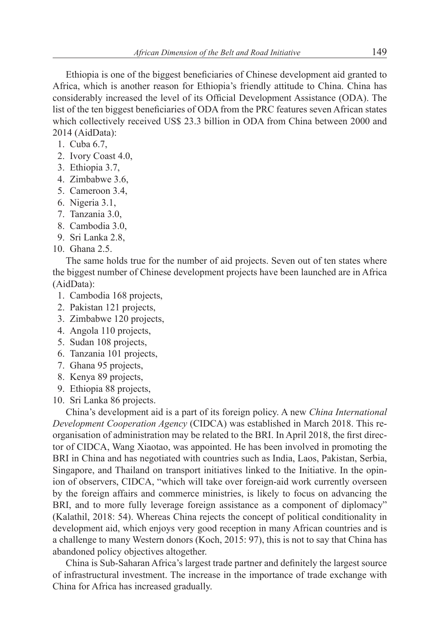Ethiopia is one of the biggest beneficiaries of Chinese development aid granted to Africa, which is another reason for Ethiopia's friendly attitude to China. China has considerably increased the level of its Official Development Assistance (ODA). The list of the ten biggest beneficiaries of ODA from the PRC features seven African states which collectively received US\$ 23.3 billion in ODA from China between 2000 and 2014 (AidData):

- 1. Cuba 6.7,
- 2. Ivory Coast 4.0,
- 3. Ethiopia 3.7,
- 4. Zimbabwe 3.6,
- 5. Cameroon 3.4,
- 6. Nigeria 3.1,
- 7. Tanzania 3.0,
- 8. Cambodia 3.0,
- 9. Sri Lanka 2.8,
- 10. Ghana 2.5.

The same holds true for the number of aid projects. Seven out of ten states where the biggest number of Chinese development projects have been launched are in Africa (AidData):

- 1. Cambodia 168 projects,
- 2. Pakistan 121 projects,
- 3. Zimbabwe 120 projects,
- 4. Angola 110 projects,
- 5. Sudan 108 projects,
- 6. Tanzania 101 projects,
- 7. Ghana 95 projects,
- 8. Kenya 89 projects,
- 9. Ethiopia 88 projects,
- 10. Sri Lanka 86 projects.

China's development aid is a part of its foreign policy. A new *China International Development Cooperation Agency* (CIDCA) was established in March 2018. This reorganisation of administration may be related to the BRI. In April 2018, the first director of CIDCA, Wang Xiaotao, was appointed. He has been involved in promoting the BRI in China and has negotiated with countries such as India, Laos, Pakistan, Serbia, Singapore, and Thailand on transport initiatives linked to the Initiative. In the opinion of observers, CIDCA, "which will take over foreign-aid work currently overseen by the foreign affairs and commerce ministries, is likely to focus on advancing the BRI, and to more fully leverage foreign assistance as a component of diplomacy" (Kalathil, 2018: 54). Whereas China rejects the concept of political conditionality in development aid, which enjoys very good reception in many African countries and is a challenge to many Western donors (Koch, 2015: 97), this is not to say that China has abandoned policy objectives altogether.

China is Sub-Saharan Africa's largest trade partner and definitely the largest source of infrastructural investment. The increase in the importance of trade exchange with China for Africa has increased gradually.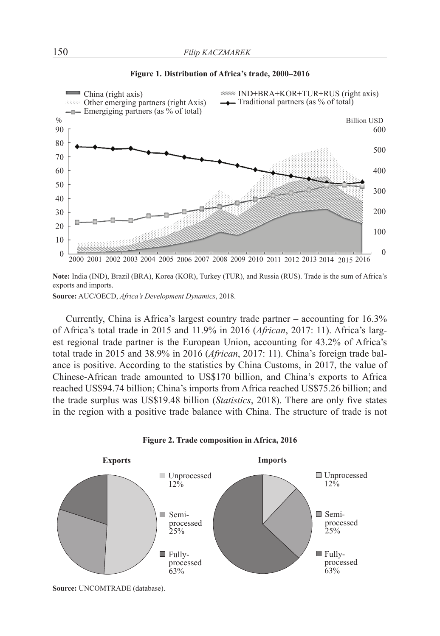

#### **Figure 1. Distribution of Africa's trade, 2000–2016**

**Note:** India (IND), Brazil (BRA), Korea (KOR), Turkey (TUR), and Russia (RUS). Trade is the sum of Africa's exports and imports.

**Source:** AUC/OECD, *Africa's Development Dynamics*, 2018.

Currently, China is Africa's largest country trade partner – accounting for 16.3% of Africa's total trade in 2015 and 11.9% in 2016 (*African*, 2017: 11). Africa's largest regional trade partner is the European Union, accounting for 43.2% of Africa's total trade in 2015 and 38.9% in 2016 (*African*, 2017: 11). China's foreign trade balance is positive. According to the statistics by China Customs, in 2017, the value of Chinese-African trade amounted to US\$170 billion, and China's exports to Africa reached US\$94.74 billion; China's imports from Africa reached US\$75.26 billion; and the trade surplus was US\$19.48 billion (*Statistics*, 2018). There are only five states in the region with a positive trade balance with China. The structure of trade is not



**Figure 2. Trade composition in Africa, 2016**

**Source:** UNCOMTRADE (database).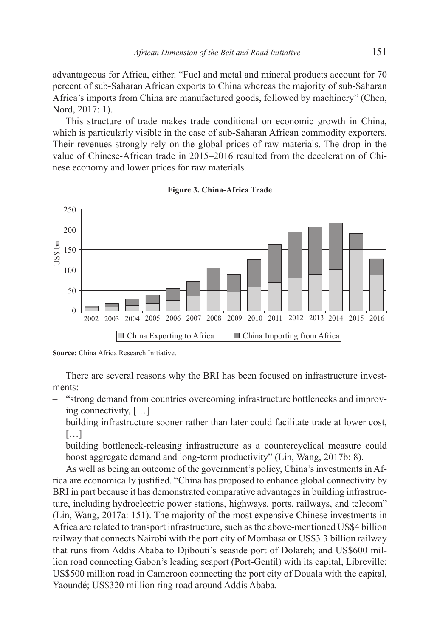advantageous for Africa, either. "Fuel and metal and mineral products account for 70 percent of sub-Saharan African exports to China whereas the majority of sub-Saharan Africa's imports from China are manufactured goods, followed by machinery" (Chen, Nord, 2017: 1).

This structure of trade makes trade conditional on economic growth in China, which is particularly visible in the case of sub-Saharan African commodity exporters. Their revenues strongly rely on the global prices of raw materials. The drop in the value of Chinese-African trade in 2015–2016 resulted from the deceleration of Chinese economy and lower prices for raw materials.



**Figure 3. China-Africa Trade**

There are several reasons why the BRI has been focused on infrastructure investments:

- "strong demand from countries overcoming infrastructure bottlenecks and improving connectivity, […]
- building infrastructure sooner rather than later could facilitate trade at lower cost, […]
- building bottleneck-releasing infrastructure as a countercyclical measure could boost aggregate demand and long-term productivity" (Lin, Wang, 2017b: 8).

As well as being an outcome of the government's policy, China's investments in Africa are economically justified. "China has proposed to enhance global connectivity by BRI in part because it has demonstrated comparative advantages in building infrastructure, including hydroelectric power stations, highways, ports, railways, and telecom" (Lin, Wang, 2017a: 151). The majority of the most expensive Chinese investments in Africa are related to transport infrastructure, such as the above-mentioned US\$4 billion railway that connects Nairobi with the port city of Mombasa or US\$3.3 billion railway that runs from Addis Ababa to Djibouti's seaside port of Dolareh; and US\$600 million road connecting Gabon's leading seaport (Port-Gentil) with its capital, Libreville; US\$500 million road in Cameroon connecting the port city of Douala with the capital, Yaoundé; US\$320 million ring road around Addis Ababa.

**Source:** China Africa Research Initiative.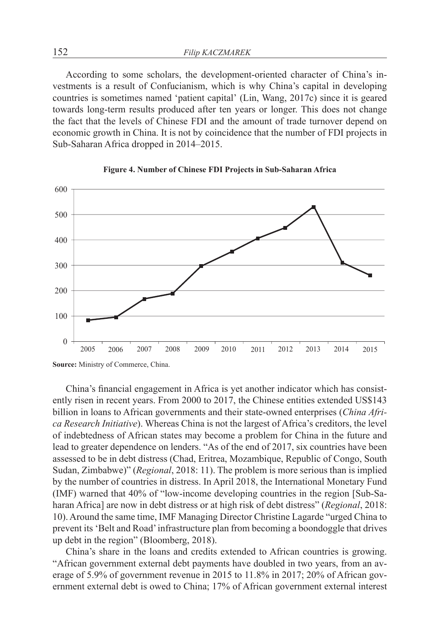According to some scholars, the development-oriented character of China's investments is a result of Confucianism, which is why China's capital in developing countries is sometimes named 'patient capital' (Lin, Wang, 2017c) since it is geared towards long-term results produced after ten years or longer. This does not change the fact that the levels of Chinese FDI and the amount of trade turnover depend on economic growth in China. It is not by coincidence that the number of FDI projects in Sub-Saharan Africa dropped in 2014–2015.





China's financial engagement in Africa is yet another indicator which has consistently risen in recent years. From 2000 to 2017, the Chinese entities extended US\$143 billion in loans to African governments and their state-owned enterprises (*China Africa Research Initiative*). Whereas China is not the largest of Africa's creditors, the level of indebtedness of African states may become a problem for China in the future and lead to greater dependence on lenders. "As of the end of 2017, six countries have been assessed to be in debt distress (Chad, Eritrea, Mozambique, Republic of Congo, South Sudan, Zimbabwe)" (*Regional*, 2018: 11). The problem is more serious than is implied by the number of countries in distress. In April 2018, the International Monetary Fund (IMF) warned that 40% of "low-income developing countries in the region [Sub-Saharan Africa] are now in debt distress or at high risk of debt distress" (*Regional*, 2018: 10). Around the same time, IMF Managing Director Christine Lagarde "urged China to prevent its 'Belt and Road' infrastructure plan from becoming a boondoggle that drives up debt in the region" (Bloomberg, 2018).

China's share in the loans and credits extended to African countries is growing. "African government external debt payments have doubled in two years, from an average of 5.9% of government revenue in 2015 to 11.8% in 2017; 20% of African government external debt is owed to China; 17% of African government external interest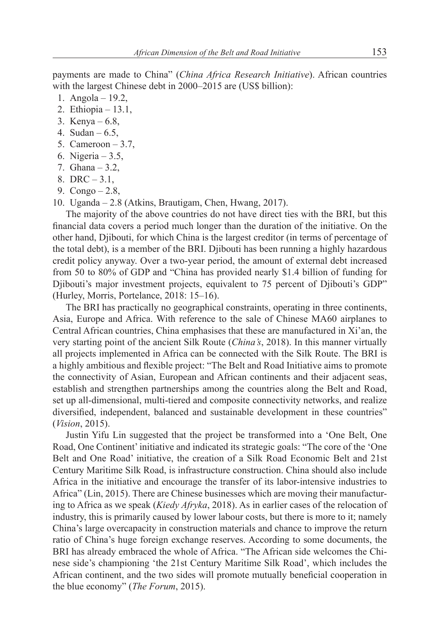payments are made to China" (*China Africa Research Initiative*). African countries with the largest Chinese debt in 2000–2015 are (US\$ billion):

- 1. Angola 19.2,
- 2. Ethiopia 13.1,
- 3. Kenya 6.8,
- 4. Sudan 6.5,
- 5. Cameroon  $-3.7$ ,
- 6. Nigeria 3.5,
- 7. Ghana 3.2,
- 8. DRC 3.1,
- 9. Congo 2.8,
- 10. Uganda 2.8 (Atkins, Brautigam, Chen, Hwang, 2017).

The majority of the above countries do not have direct ties with the BRI, but this financial data covers a period much longer than the duration of the initiative. On the other hand, Djibouti, for which China is the largest creditor (in terms of percentage of the total debt), is a member of the BRI. Djibouti has been running a highly hazardous credit policy anyway. Over a two-year period, the amount of external debt increased from 50 to 80% of GDP and "China has provided nearly \$1.4 billion of funding for Diibouti's major investment projects, equivalent to 75 percent of Diibouti's GDP" (Hurley, Morris, Portelance, 2018: 15–16).

The BRI has practically no geographical constraints, operating in three continents, Asia, Europe and Africa. With reference to the sale of Chinese MA60 airplanes to Central African countries, China emphasises that these are manufactured in Xi'an, the very starting point of the ancient Silk Route (*China's*, 2018). In this manner virtually all projects implemented in Africa can be connected with the Silk Route. The BRI is a highly ambitious and flexible project: "The Belt and Road Initiative aims to promote the connectivity of Asian, European and African continents and their adjacent seas, establish and strengthen partnerships among the countries along the Belt and Road, set up all-dimensional, multi-tiered and composite connectivity networks, and realize diversified, independent, balanced and sustainable development in these countries" (*Vision*, 2015).

Justin Yifu Lin suggested that the project be transformed into a 'One Belt, One Road, One Continent' initiative and indicated its strategic goals: "The core of the 'One Belt and One Road' initiative, the creation of a Silk Road Economic Belt and 21st Century Maritime Silk Road, is infrastructure construction. China should also include Africa in the initiative and encourage the transfer of its labor-intensive industries to Africa" (Lin, 2015). There are Chinese businesses which are moving their manufacturing to Africa as we speak (*Kiedy Afryka*, 2018). As in earlier cases of the relocation of industry, this is primarily caused by lower labour costs, but there is more to it; namely China's large overcapacity in construction materials and chance to improve the return ratio of China's huge foreign exchange reserves. According to some documents, the BRI has already embraced the whole of Africa. "The African side welcomes the Chinese side's championing 'the 21st Century Maritime Silk Road', which includes the African continent, and the two sides will promote mutually beneficial cooperation in the blue economy" (*The Forum*, 2015).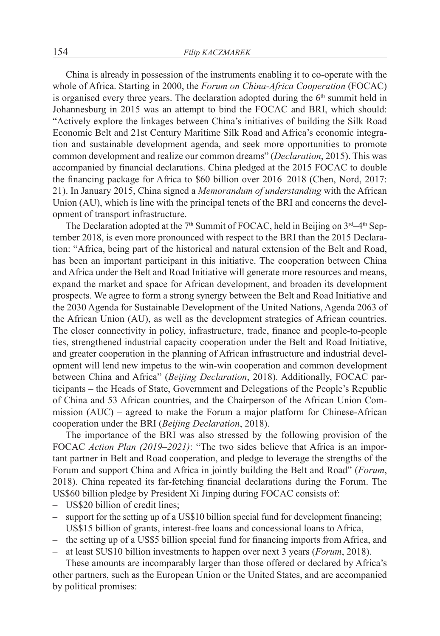China is already in possession of the instruments enabling it to co-operate with the whole of Africa. Starting in 2000, the *Forum on China-Africa Cooperation* (FOCAC) is organised every three years. The declaration adopted during the  $6<sup>th</sup>$  summit held in Johannesburg in 2015 was an attempt to bind the FOCAC and BRI, which should: "Actively explore the linkages between China's initiatives of building the Silk Road Economic Belt and 21st Century Maritime Silk Road and Africa's economic integration and sustainable development agenda, and seek more opportunities to promote common development and realize our common dreams" (*Declaration*, 2015). This was accompanied by financial declarations. China pledged at the 2015 FOCAC to double the financing package for Africa to \$60 billion over 2016–2018 (Chen, Nord, 2017: 21). In January 2015, China signed a *Memorandum of understanding* with the African Union (AU), which is line with the principal tenets of the BRI and concerns the development of transport infrastructure.

The Declaration adopted at the  $7<sup>th</sup>$  Summit of FOCAC, held in Beijing on  $3<sup>rd</sup>-4<sup>th</sup>$  September 2018, is even more pronounced with respect to the BRI than the 2015 Declaration: "Africa, being part of the historical and natural extension of the Belt and Road, has been an important participant in this initiative. The cooperation between China and Africa under the Belt and Road Initiative will generate more resources and means, expand the market and space for African development, and broaden its development prospects. We agree to form a strong synergy between the Belt and Road Initiative and the 2030 Agenda for Sustainable Development of the United Nations, Agenda 2063 of the African Union (AU), as well as the development strategies of African countries. The closer connectivity in policy, infrastructure, trade, finance and people-to-people ties, strengthened industrial capacity cooperation under the Belt and Road Initiative, and greater cooperation in the planning of African infrastructure and industrial development will lend new impetus to the win-win cooperation and common development between China and Africa" (*Beijing Declaration*, 2018). Additionally, FOCAC participants – the Heads of State, Government and Delegations of the People's Republic of China and 53 African countries, and the Chairperson of the African Union Commission (AUC) – agreed to make the Forum a major platform for Chinese-African cooperation under the BRI (*Beijing Declaration*, 2018).

The importance of the BRI was also stressed by the following provision of the FOCAC *Action Plan (2019–2021)*: "The two sides believe that Africa is an important partner in Belt and Road cooperation, and pledge to leverage the strengths of the Forum and support China and Africa in jointly building the Belt and Road" (*Forum*, 2018). China repeated its far-fetching financial declarations during the Forum. The US\$60 billion pledge by President Xi Jinping during FOCAC consists of:

- US\$20 billion of credit lines;
- support for the setting up of a US\$10 billion special fund for development financing;
- US\$15 billion of grants, interest-free loans and concessional loans to Africa,
- the setting up of a US\$5 billion special fund for financing imports from Africa, and
- at least \$US10 billion investments to happen over next 3 years (*Forum*, 2018).

These amounts are incomparably larger than those offered or declared by Africa's other partners, such as the European Union or the United States, and are accompanied by political promises: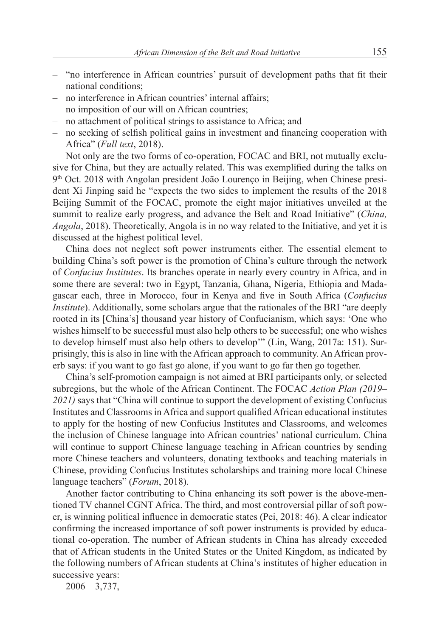- "no interference in African countries' pursuit of development paths that fit their national conditions;
- no interference in African countries' internal affairs;
- no imposition of our will on African countries;
- no attachment of political strings to assistance to Africa; and
- no seeking of selfish political gains in investment and financing cooperation with Africa" (*Full text*, 2018).

Not only are the two forms of co-operation, FOCAC and BRI, not mutually exclusive for China, but they are actually related. This was exemplified during the talks on 9th Oct. 2018 with Angolan president João Lourenço in Beijing, when Chinese president Xi Jinping said he "expects the two sides to implement the results of the 2018 Beijing Summit of the FOCAC, promote the eight major initiatives unveiled at the summit to realize early progress, and advance the Belt and Road Initiative" (*China, Angola*, 2018). Theoretically, Angola is in no way related to the Initiative, and yet it is discussed at the highest political level.

China does not neglect soft power instruments either. The essential element to building China's soft power is the promotion of China's culture through the network of *Confucius Institutes*. Its branches operate in nearly every country in Africa, and in some there are several: two in Egypt, Tanzania, Ghana, Nigeria, Ethiopia and Madagascar each, three in Morocco, four in Kenya and five in South Africa (*Confucius Institute*). Additionally, some scholars argue that the rationales of the BRI "are deeply rooted in its [China's] thousand year history of Confucianism, which says: 'One who wishes himself to be successful must also help others to be successful; one who wishes to develop himself must also help others to develop'" (Lin, Wang, 2017a: 151). Surprisingly, this is also in line with the African approach to community. An African proverb says: if you want to go fast go alone, if you want to go far then go together.

China's self-promotion campaign is not aimed at BRI participants only, or selected subregions, but the whole of the African Continent. The FOCAC *Action Plan (2019– 2021)* says that "China will continue to support the development of existing Confucius Institutes and Classrooms in Africa and support qualified African educational institutes to apply for the hosting of new Confucius Institutes and Classrooms, and welcomes the inclusion of Chinese language into African countries' national curriculum. China will continue to support Chinese language teaching in African countries by sending more Chinese teachers and volunteers, donating textbooks and teaching materials in Chinese, providing Confucius Institutes scholarships and training more local Chinese language teachers" (*Forum*, 2018).

Another factor contributing to China enhancing its soft power is the above-mentioned TV channel CGNT Africa. The third, and most controversial pillar of soft power, is winning political influence in democratic states (Pei, 2018: 46). A clear indicator confirming the increased importance of soft power instruments is provided by educational co-operation. The number of African students in China has already exceeded that of African students in the United States or the United Kingdom, as indicated by the following numbers of African students at China's institutes of higher education in successive years:

 $-2006 - 3.737$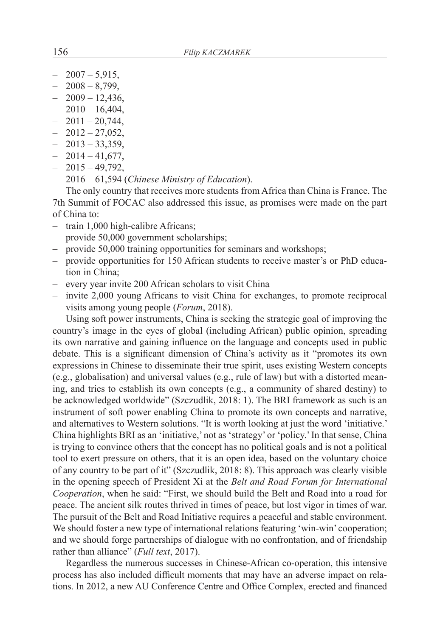- $-2007 5.915$
- $-2008 8,799,$
- $-2009 12,436,$
- $-2010 16,404,$
- $-2011 20.744$
- $-2012-27,052,$
- $-2013 33,359,$
- $-2014 41,677,$
- $-2015 49,792,$
- 2016 61,594 (*Chinese Ministry of Education*).

The only country that receives more students from Africa than China is France. The 7th Summit of FOCAC also addressed this issue, as promises were made on the part of China to:

- train 1,000 high-calibre Africans;
- provide 50,000 government scholarships;
- provide 50,000 training opportunities for seminars and workshops;
- provide opportunities for 150 African students to receive master's or PhD education in China;
- every year invite 200 African scholars to visit China
- invite 2,000 young Africans to visit China for exchanges, to promote reciprocal visits among young people (*Forum*, 2018).

Using soft power instruments, China is seeking the strategic goal of improving the country's image in the eyes of global (including African) public opinion, spreading its own narrative and gaining influence on the language and concepts used in public debate. This is a significant dimension of China's activity as it "promotes its own expressions in Chinese to disseminate their true spirit, uses existing Western concepts (e.g., globalisation) and universal values (e.g., rule of law) but with a distorted meaning, and tries to establish its own concepts (e.g., a community of shared destiny) to be acknowledged worldwide" (Szczudlik, 2018: 1). The BRI framework as such is an instrument of soft power enabling China to promote its own concepts and narrative, and alternatives to Western solutions. "It is worth looking at just the word 'initiative.' China highlights BRI as an 'initiative,' not as 'strategy' or 'policy.' In that sense, China is trying to convince others that the concept has no political goals and is not a political tool to exert pressure on others, that it is an open idea, based on the voluntary choice of any country to be part of it" (Szczudlik, 2018: 8). This approach was clearly visible in the opening speech of President Xi at the *Belt and Road Forum for International Cooperation*, when he said: "First, we should build the Belt and Road into a road for peace. The ancient silk routes thrived in times of peace, but lost vigor in times of war. The pursuit of the Belt and Road Initiative requires a peaceful and stable environment. We should foster a new type of international relations featuring 'win-win' cooperation; and we should forge partnerships of dialogue with no confrontation, and of friendship rather than alliance" (*Full text*, 2017).

Regardless the numerous successes in Chinese-African co-operation, this intensive process has also included difficult moments that may have an adverse impact on relations. In 2012, a new AU Conference Centre and Office Complex, erected and financed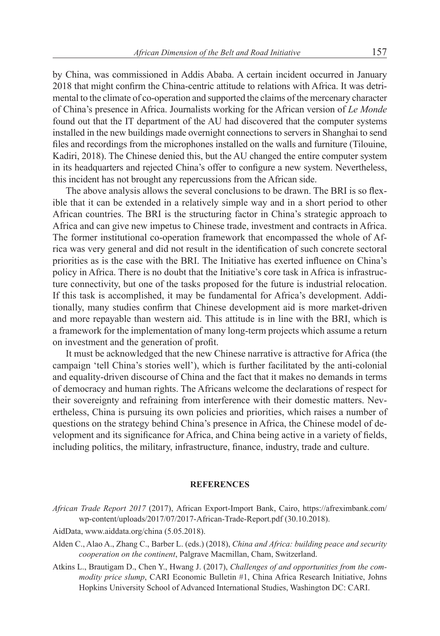by China, was commissioned in Addis Ababa. A certain incident occurred in January 2018 that might confirm the China-centric attitude to relations with Africa. It was detrimental to the climate of co-operation and supported the claims of the mercenary character of China's presence in Africa. Journalists working for the African version of *Le Monde* found out that the IT department of the AU had discovered that the computer systems installed in the new buildings made overnight connections to servers in Shanghai to send files and recordings from the microphones installed on the walls and furniture (Tilouine, Kadiri, 2018). The Chinese denied this, but the AU changed the entire computer system in its headquarters and rejected China's offer to configure a new system. Nevertheless, this incident has not brought any repercussions from the African side.

The above analysis allows the several conclusions to be drawn. The BRI is so flexible that it can be extended in a relatively simple way and in a short period to other African countries. The BRI is the structuring factor in China's strategic approach to Africa and can give new impetus to Chinese trade, investment and contracts in Africa. The former institutional co-operation framework that encompassed the whole of Africa was very general and did not result in the identification of such concrete sectoral priorities as is the case with the BRI. The Initiative has exerted influence on China's policy in Africa. There is no doubt that the Initiative's core task in Africa is infrastructure connectivity, but one of the tasks proposed for the future is industrial relocation. If this task is accomplished, it may be fundamental for Africa's development. Additionally, many studies confirm that Chinese development aid is more market-driven and more repayable than western aid. This attitude is in line with the BRI, which is a framework for the implementation of many long-term projects which assume a return on investment and the generation of profit.

It must be acknowledged that the new Chinese narrative is attractive for Africa (the campaign 'tell China's stories well'), which is further facilitated by the anti-colonial and equality-driven discourse of China and the fact that it makes no demands in terms of democracy and human rights. The Africans welcome the declarations of respect for their sovereignty and refraining from interference with their domestic matters. Nevertheless, China is pursuing its own policies and priorities, which raises a number of questions on the strategy behind China's presence in Africa, the Chinese model of development and its significance for Africa, and China being active in a variety of fields, including politics, the military, infrastructure, finance, industry, trade and culture.

#### **REFERENCES**

- *African Trade Report 2017* (2017), African Export-Import Bank, Cairo, https://afreximbank.com/ wp-content/uploads/2017/07/2017-African-Trade-Report.pdf (30.10.2018).
- AidData, www.aiddata.org/china (5.05.2018).
- Alden C., Alao A., Zhang C., Barber L. (eds.) (2018), *China and Africa: building peace and security cooperation on the continent*, Palgrave Macmillan, Cham, Switzerland.
- Atkins L., Brautigam D., Chen Y., Hwang J. (2017), *Challenges of and opportunities from the commodity price slump*, CARI Economic Bulletin #1, China Africa Research Initiative, Johns Hopkins University School of Advanced International Studies, Washington DC: CARI.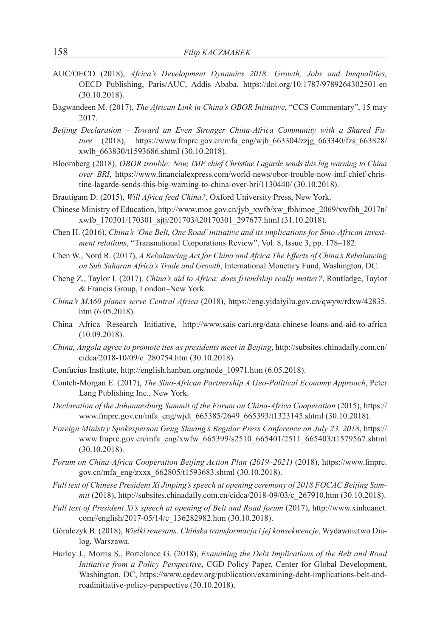- AUC/OECD (2018), *Africa's Development Dynamics 2018: Growth, Jobs and Inequalities*, OECD Publishing, Paris/AUC, Addis Ababa, https://doi.org/10.1787/9789264302501-en (30.10.2018).
- Bagwandeen M. (2017), *The African Link in China's OBOR Initiative,* "CCS Commentary", 15 may 2017.
- *Beijing Declaration Toward an Even Stronger China-Africa Community with a Shared Future* (2018), https://www.fmprc.gov.cn/mfa\_eng/wjb\_663304/zzjg\_663340/fzs\_663828/ xwlb\_663830/t1593686.shtml (30.10.2018).
- Bloomberg (2018), *OBOR trouble: Now, IMF chief Christine Lagarde sends this big warning to China over BRI*, https://www.financialexpress.com/world-news/obor-trouble-now-imf-chief-christine-lagarde-sends-this-big-warning-to-china-over-bri/1130440/ (30.10.2018).
- Brautigam D. (2015), *Will Africa feed China?*, Oxford University Press, New York.
- Chinese Ministry of Education, http://www.moe.gov.cn/jyb\_xwfb/xw\_fbh/moe\_2069/xwfbh\_2017n/ xwfb\_170301/170301\_sjtj/201703/t20170301\_297677.html (31.10.2018).
- Chen H. (2016), *China's 'One Belt, One Road' initiative and its implications for Sino-African investment relations*, "Transnational Corporations Review", Vol. 8, Issue 3, pp. 178–182.
- Chen W., Nord R. (2017), *A Rebalancing Act for China and Africa The Effects of China's Rebalancing on Sub Saharan Africa's Trade and Growth*, International Monetary Fund, Washington, DC.
- Cheng Z., Taylor I. (2017)*, China's aid to Africa: does friendship really matter?*, Routledge, Taylor & Francis Group, London–New York.
- *China's MA60 planes serve Central Africa* (2018), https://eng.yidaiyilu.gov.cn/qwyw/rdxw/42835. htm (6.05.2018).
- China Africa Research Initiative, http://www.sais-cari.org/data-chinese-loans-and-aid-to-africa (10.09.2018).
- *China, Angola agree to promote ties as presidents meet in Beijing*, http://subsites.chinadaily.com.cn/ cidca/2018-10/09/c\_280754.htm (30.10.2018).
- Confucius Institute, http://english.hanban.org/node\_10971.htm (6.05.2018).
- Conteh-Morgan E. (2017), *The Sino-African Partnership A Geo-Political Economy Approach*, Peter Lang Publishing Inc., New York.
- *Declaration of the Johannesburg Summit of the Forum on China-Africa Cooperation* (2015), https:// www.fmprc.gov.cn/mfa\_eng/wjdt\_665385/2649\_665393/t1323145.shtml (30.10.2018).
- *Foreign Ministry Spokesperson Geng Shuang's Regular Press Conference on July 23, 2018*, https:// www.fmprc.gov.cn/mfa\_eng/xwfw\_665399/s2510\_665401/2511\_665403/t1579567.shtml (30.10.2018).
- *Forum on China-Africa Cooperation Beijing Action Plan (2019–2021)* (2018), https://www.fmprc. gov.cn/mfa\_eng/zxxx\_662805/t1593683.shtml (30.10.2018).
- *Full text of Chinese President Xi Jinping's speech at opening ceremony of 2018 FOCAC Beijing Summit* (2018), http://subsites.chinadaily.com.cn/cidca/2018-09/03/c\_267910.htm (30.10.2018).
- *Full text of President Xi's speech at opening of Belt and Road forum* (2017), http://www.xinhuanet. com//english/2017-05/14/c\_136282982.htm (30.10.2018).
- Góralczyk B. (2018), *Wielki renesans. Chińska transformacja i jej konsekwencje*, Wydawnictwo Dialog, Warszawa.
- Hurley J., Morris S., Portelance G. (2018), *Examining the Debt Implications of the Belt and Road Initiative from a Policy Perspective*, CGD Policy Paper, Center for Global Development, Washington, DC, https://www.cgdev.org/publication/examining-debt-implications-belt-androadinitiative-policy-perspective (30.10.2018).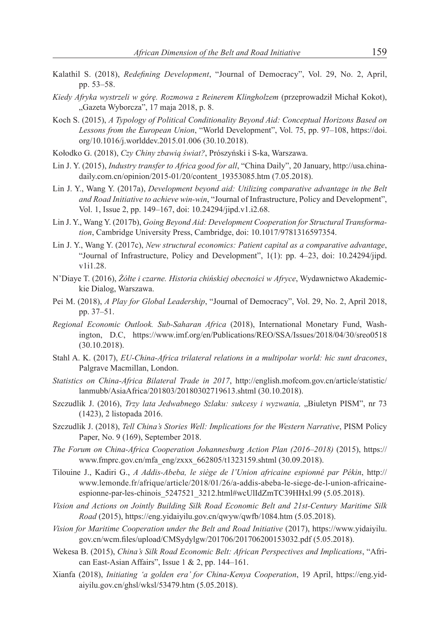- Kalathil S. (2018), *Redefining Development*, "Journal of Democracy", Vol. 29, No. 2, April, pp. 53–58.
- *Kiedy Afryka wystrzeli w górę. Rozmowa z Reinerem Klingholzem* (przeprowadził Michał Kokot), "Gazeta Wyborcza", 17 maja 2018, p. 8.
- Koch S. (2015), *A Typology of Political Conditionality Beyond Aid: Conceptual Horizons Based on Lessons from the European Union*, "World Development", Vol. 75, pp. 97–108, https://doi. org/10.1016/j.worlddev.2015.01.006 (30.10.2018).
- Kołodko G. (2018), *Czy Chiny zbawią świat?*, Prószyński i S-ka, Warszawa.
- Lin J. Y. (2015), *Industry transfer to Africa good for all*, "China Daily", 20 January, http://usa.chinadaily.com.cn/opinion/2015-01/20/content\_19353085.htm (7.05.2018).
- Lin J. Y., Wang Y. (2017a), *Development beyond aid: Utilizing comparative advantage in the Belt and Road Initiative to achieve win-win*, "Journal of Infrastructure, Policy and Development", Vol. 1, Issue 2, pp. 149–167, doi: 10.24294/jipd.v1.i2.68.
- Lin J. Y., Wang Y. (2017b), *Going Beyond Aid: Development Cooperation for Structural Transformation*, Cambridge University Press, Cambridge, doi: 10.1017/9781316597354.
- Lin J. Y., Wang Y. (2017c), *New structural economics: Patient capital as a comparative advantage*, "Journal of Infrastructure, Policy and Development", 1(1): pp. 4–23, doi: 10.24294/jipd. v1i1.28.
- N'Diaye T. (2016), *Żółte i czarne. Historia chińskiej obecności w Afryce*, Wydawnictwo Akademickie Dialog, Warszawa.
- Pei M. (2018), *A Play for Global Leadership*, "Journal of Democracy", Vol. 29, No. 2, April 2018, pp. 37–51.
- *Regional Economic Outlook. Sub-Saharan Africa* (2018), International Monetary Fund, Washington, D.C, https://www.imf.org/en/Publications/REO/SSA/Issues/2018/04/30/sreo0518 (30.10.2018).
- Stahl A. K. (2017), *EU-China-Africa trilateral relations in a multipolar world: hic sunt dracones*, Palgrave Macmillan, London.
- *Statistics on China-Africa Bilateral Trade in 2017*, http://english.mofcom.gov.cn/article/statistic/ lanmubb/AsiaAfrica/201803/20180302719613.shtml (30.10.2018).
- Szczudlik J. (2016), *Trzy lata Jedwabnego Szlaku: sukcesy i wyzwania*, "Biuletyn PISM", nr 73 (1423), 2 listopada 2016.
- Szczudlik J. (2018), *Tell China's Stories Well: Implications for the Western Narrative*, PISM Policy Paper, No. 9 (169), September 2018.
- *The Forum on China-Africa Cooperation Johannesburg Action Plan (2016–2018)* (2015), https:// www.fmprc.gov.cn/mfa\_eng/zxxx\_662805/t1323159.shtml (30.09.2018).
- Tilouine J., Kadiri G., *A Addis-Abeba, le siège de l'Union africaine espionné par Pékin*, http:// www.lemonde.fr/afrique/article/2018/01/26/a-addis-abeba-le-siege-de-l-union-africaineespionne-par-les-chinois 5247521 3212.html#wcUlIdZmTC39HHxl.99 (5.05.2018).
- *Vision and Actions on Jointly Building Silk Road Economic Belt and 21st-Century Maritime Silk Road* (2015), https://eng.yidaiyilu.gov.cn/qwyw/qwfb/1084.htm (5.05.2018).
- *Vision for Maritime Cooperation under the Belt and Road Initiative* (2017), https://www.yidaiyilu. gov.cn/wcm.files/upload/CMSydylgw/201706/201706200153032.pdf (5.05.2018).
- Wekesa B. (2015), *China's Silk Road Economic Belt: African Perspectives and Implications*, "African East-Asian Affairs", Issue 1 & 2, pp. 144–161.
- Xianfa (2018), *Initiating 'a golden era' for China-Kenya Cooperation*, 19 April, https://eng.yidaiyilu.gov.cn/ghsl/wksl/53479.htm (5.05.2018).